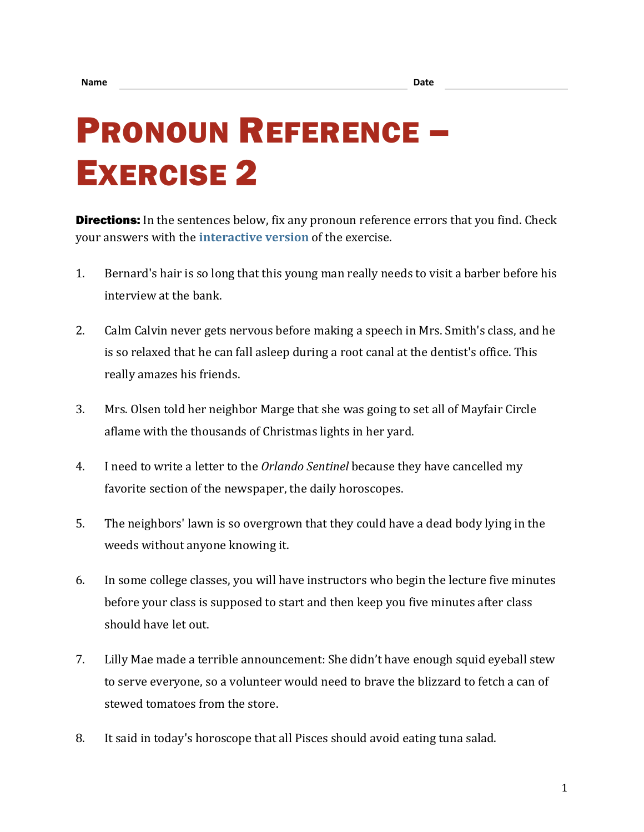## PRONOUN REFERENCE – EXERCISE 2

**Directions:** In the sentences below, fix any pronoun reference errors that you find. Check your answers with the **[interactive version](https://chompchomp.com/hotpotatoes/proref02.htm)** of the exercise.

- 1. Bernard's hair is so long that this young man really needs to visit a barber before his interview at the bank.
- 2. Calm Calvin never gets nervous before making a speech in Mrs. Smith's class, and he is so relaxed that he can fall asleep during a root canal at the dentist's office. This really amazes his friends.
- 3. Mrs. Olsen told her neighbor Marge that she was going to set all of Mayfair Circle aflame with the thousands of Christmas lights in her yard.
- 4. I need to write a letter to the *Orlando Sentinel* because they have cancelled my favorite section of the newspaper, the daily horoscopes.
- 5. The neighbors' lawn is so overgrown that they could have a dead body lying in the weeds without anyone knowing it.
- 6. In some college classes, you will have instructors who begin the lecture five minutes before your class is supposed to start and then keep you five minutes after class should have let out.
- 7. Lilly Mae made a terrible announcement: She didn't have enough squid eyeball stew to serve everyone, so a volunteer would need to brave the blizzard to fetch a can of stewed tomatoes from the store.
- 8. It said in today's horoscope that all Pisces should avoid eating tuna salad.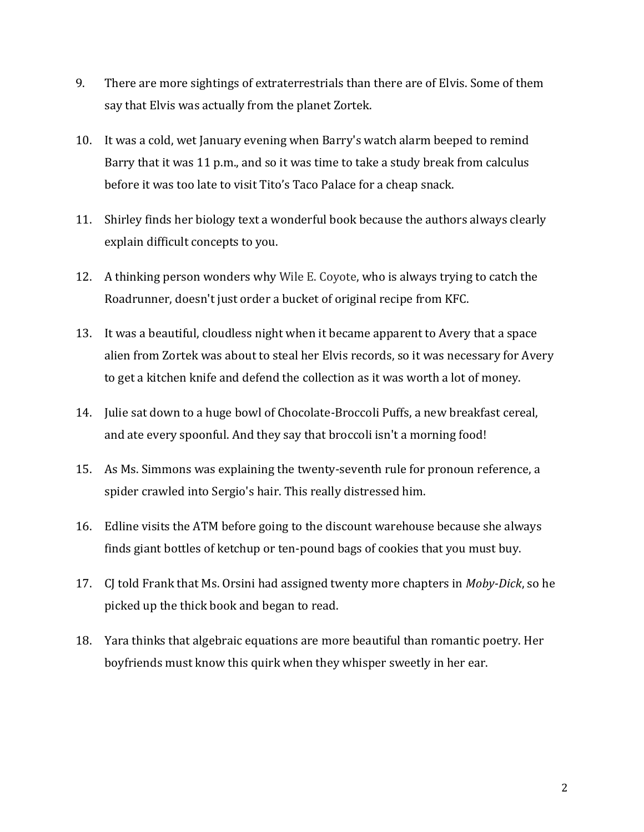- 9. There are more sightings of extraterrestrials than there are of Elvis. Some of them say that Elvis was actually from the planet Zortek.
- 10. It was a cold, wet January evening when Barry's watch alarm beeped to remind Barry that it was 11 p.m., and so it was time to take a study break from calculus before it was too late to visit Tito's Taco Palace for a cheap snack.
- 11. Shirley finds her biology text a wonderful book because the authors always clearly explain difficult concepts to you.
- 12. A thinking person wonders why Wile E. Coyote, who is always trying to catch the Roadrunner, doesn't just order a bucket of original recipe from KFC.
- 13. It was a beautiful, cloudless night when it became apparent to Avery that a space alien from Zortek was about to steal her Elvis records, so it was necessary for Avery to get a kitchen knife and defend the collection as it was worth a lot of money.
- 14. Julie sat down to a huge bowl of Chocolate-Broccoli Puffs, a new breakfast cereal, and ate every spoonful. And they say that broccoli isn't a morning food!
- 15. As Ms. Simmons was explaining the twenty-seventh rule for pronoun reference, a spider crawled into Sergio's hair. This really distressed him.
- 16. Edline visits the ATM before going to the discount warehouse because she always finds giant bottles of ketchup or ten-pound bags of cookies that you must buy.
- 17. CJ told Frank that Ms. Orsini had assigned twenty more chapters in *Moby-Dick*, so he picked up the thick book and began to read.
- 18. Yara thinks that algebraic equations are more beautiful than romantic poetry. Her boyfriends must know this quirk when they whisper sweetly in her ear.